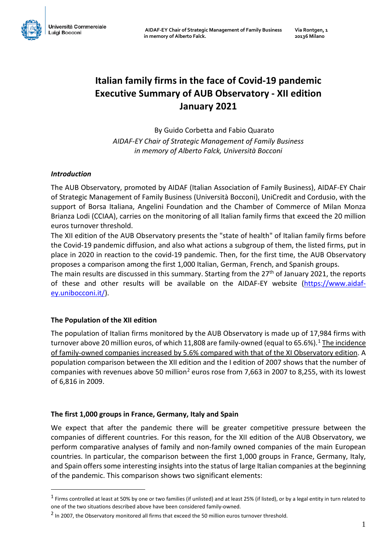# **Italian family firms in the face of Covid-19 pandemic Executive Summary of AUB Observatory - XII edition January 2021**

By Guido Corbetta and Fabio Quarato *AIDAF-EY Chair of Strategic Management of Family Business in memory of Alberto Falck, Università Bocconi*

## *Introduction*

<u>.</u>

The AUB Observatory, promoted by AIDAF (Italian Association of Family Business), AIDAF-EY Chair of Strategic Management of Family Business (Università Bocconi), UniCredit and Cordusio, with the support of Borsa Italiana, Angelini Foundation and the Chamber of Commerce of Milan Monza Brianza Lodi (CCIAA), carries on the monitoring of all Italian family firms that exceed the 20 million euros turnover threshold.

The XII edition of the AUB Observatory presents the "state of health" of Italian family firms before the Covid-19 pandemic diffusion, and also what actions a subgroup of them, the listed firms, put in place in 2020 in reaction to the covid-19 pandemic. Then, for the first time, the AUB Observatory proposes a comparison among the first 1,000 Italian, German, French, and Spanish groups.

The main results are discussed in this summary. Starting from the  $27<sup>th</sup>$  of January 2021, the reports of these and other results will be available on the AIDAF-EY website [\(https://www.aidaf](https://www.aidaf-ey.unibocconi.it/)[ey.unibocconi.it/\)](https://www.aidaf-ey.unibocconi.it/).

### **The Population of the XII edition**

The population of Italian firms monitored by the AUB Observatory is made up of 17,984 firms with turnover above 20 million euros, of which [1](#page-0-0)1,808 are family-owned (equal to 65.6%).<sup>1</sup> The incidence of family-owned companies increased by 5.6% compared with that of the XI Observatory edition. A population comparison between the XII edition and the I edition of 2007 shows that the number of companies with revenues above 50 million<sup>[2](#page-0-1)</sup> euros rose from 7,663 in 2007 to 8,255, with its lowest of 6,816 in 2009.

### **The first 1,000 groups in France, Germany, Italy and Spain**

We expect that after the pandemic there will be greater competitive pressure between the companies of different countries. For this reason, for the XII edition of the AUB Observatory, we perform comparative analyses of family and non-family owned companies of the main European countries. In particular, the comparison between the first 1,000 groups in France, Germany, Italy, and Spain offers some interesting insights into the status of large Italian companies at the beginning of the pandemic. This comparison shows two significant elements:

<span id="page-0-0"></span> $<sup>1</sup>$  Firms controlled at least at 50% by one or two families (if unlisted) and at least 25% (if listed), or by a legal entity in turn related to</sup> one of the two situations described above have been considered family-owned.

<span id="page-0-1"></span><sup>&</sup>lt;sup>2</sup> In 2007, the Observatory monitored all firms that exceed the 50 million euros turnover threshold.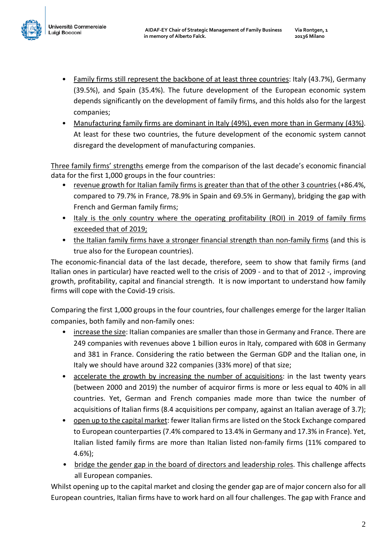

- Family firms still represent the backbone of at least three countries: Italy (43.7%), Germany (39.5%), and Spain (35.4%). The future development of the European economic system depends significantly on the development of family firms, and this holds also for the largest companies;
- Manufacturing family firms are dominant in Italy (49%), even more than in Germany (43%). At least for these two countries, the future development of the economic system cannot disregard the development of manufacturing companies.

Three family firms' strengths emerge from the comparison of the last decade's economic financial data for the first 1,000 groups in the four countries:

- revenue growth for Italian family firms is greater than that of the other 3 countries (+86.4%, compared to 79.7% in France, 78.9% in Spain and 69.5% in Germany), bridging the gap with French and German family firms;
- Italy is the only country where the operating profitability (ROI) in 2019 of family firms exceeded that of 2019;
- the Italian family firms have a stronger financial strength than non-family firms (and this is true also for the European countries).

The economic-financial data of the last decade, therefore, seem to show that family firms (and Italian ones in particular) have reacted well to the crisis of 2009 - and to that of 2012 -, improving growth, profitability, capital and financial strength. It is now important to understand how family firms will cope with the Covid-19 crisis.

Comparing the first 1,000 groups in the four countries, four challenges emerge for the larger Italian companies, both family and non-family ones:

- increase the size: Italian companies are smaller than those in Germany and France. There are 249 companies with revenues above 1 billion euros in Italy, compared with 608 in Germany and 381 in France. Considering the ratio between the German GDP and the Italian one, in Italy we should have around 322 companies (33% more) of that size;
- accelerate the growth by increasing the number of acquisitions: in the last twenty years (between 2000 and 2019) the number of acquiror firms is more or less equal to 40% in all countries. Yet, German and French companies made more than twice the number of acquisitions of Italian firms (8.4 acquisitions per company, against an Italian average of 3.7);
- open up to the capital market: fewer Italian firms are listed on the Stock Exchange compared to European counterparties (7.4% compared to 13.4% in Germany and 17.3% in France). Yet, Italian listed family firms are more than Italian listed non-family firms (11% compared to 4.6%);
- bridge the gender gap in the board of directors and leadership roles. This challenge affects all European companies.

Whilst opening up to the capital market and closing the gender gap are of major concern also for all European countries, Italian firms have to work hard on all four challenges. The gap with France and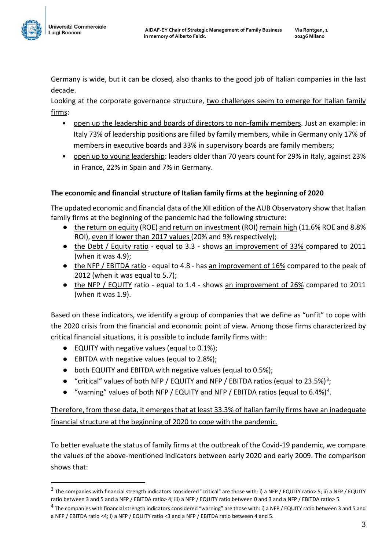

<u>.</u>

Germany is wide, but it can be closed, also thanks to the good job of Italian companies in the last decade.

Looking at the corporate governance structure, two challenges seem to emerge for Italian family firms:

- open up the leadership and boards of directors to non-family members. Just an example: in Italy 73% of leadership positions are filled by family members, while in Germany only 17% of members in executive boards and 33% in supervisory boards are family members;
- open up to young leadership: leaders older than 70 years count for 29% in Italy, against 23% in France, 22% in Spain and 7% in Germany.

## **The economic and financial structure of Italian family firms at the beginning of 2020**

The updated economic and financial data of the XII edition of the AUB Observatory show that Italian family firms at the beginning of the pandemic had the following structure:

- the return on equity (ROE) and return on investment (ROI) remain high (11.6% ROE and 8.8% ROI), even if lower than 2017 values (20% and 9% respectively);
- the Debt / Equity ratio equal to 3.3 shows an improvement of 33% compared to 2011 (when it was 4.9);
- the NFP / EBITDA ratio equal to 4.8 has an improvement of 16% compared to the peak of 2012 (when it was equal to 5.7);
- the NFP / EQUITY ratio equal to 1.4 shows an improvement of 26% compared to 2011 (when it was 1.9).

Based on these indicators, we identify a group of companies that we define as "unfit" to cope with the 2020 crisis from the financial and economic point of view. Among those firms characterized by critical financial situations, it is possible to include family firms with:

- EQUITY with negative values (equal to 0.1%);
- EBITDA with negative values (equal to 2.8%);
- both EQUITY and EBITDA with negative values (equal to 0.5%);
- "critical" values of both NFP / EQUITY and NFP / EBITDA ratios (equal to 23.5%)<sup>3</sup>;
- $\bullet$  "warning" values of both NFP / EQUITY and NFP / EBITDA ratios (equal to 6.4%)<sup>4</sup>.

Therefore, from these data, it emerges that at least 33.3% of Italian family firms have an inadequate financial structure at the beginning of 2020 to cope with the pandemic.

To better evaluate the status of family firms at the outbreak of the Covid-19 pandemic, we compare the values of the above-mentioned indicators between early 2020 and early 2009. The comparison shows that:

<span id="page-2-0"></span><sup>3</sup> The companies with financial strength indicators considered "critical" are those with: i) a NFP / EQUITY ratio> 5; ii) a NFP / EQUITY ratio between 3 and 5 and a NFP / EBITDA ratio> 4; iii) a NFP / EQUITY ratio between 0 and 3 and a NFP / EBITDA ratio> 5.

<span id="page-2-1"></span><sup>&</sup>lt;sup>4</sup> The companies with financial strength indicators considered "warning" are those with: i) a NFP / EQUITY ratio between 3 and 5 and a NFP / EBITDA ratio <4; i) a NFP / EQUITY ratio <3 and a NFP / EBITDA ratio between 4 and 5.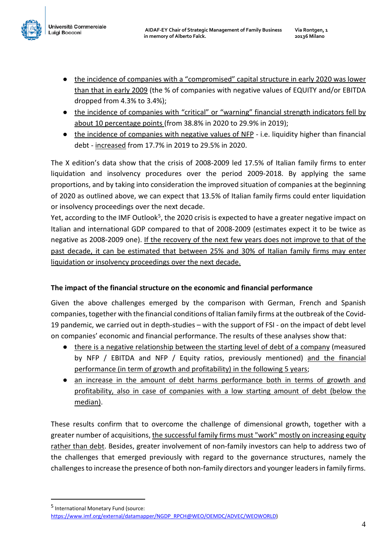

<u>.</u>

- the incidence of companies with a "compromised" capital structure in early 2020 was lower than that in early 2009 (the % of companies with negative values of EQUITY and/or EBITDA dropped from 4.3% to 3.4%);
- the incidence of companies with "critical" or "warning" financial strength indicators fell by about 10 percentage points (from 38.8% in 2020 to 29.9% in 2019);
- the incidence of companies with negative values of NFP i.e. liquidity higher than financial debt - increased from 17.7% in 2019 to 29.5% in 2020.

The X edition's data show that the crisis of 2008-2009 led 17.5% of Italian family firms to enter liquidation and insolvency procedures over the period 2009-2018. By applying the same proportions, and by taking into consideration the improved situation of companies at the beginning of 2020 as outlined above, we can expect that 13.5% of Italian family firms could enter liquidation or insolvency proceedings over the next decade.

Yet, according to the IMF Outlook<sup>[5](#page-3-0)</sup>, the 2020 crisis is expected to have a greater negative impact on Italian and international GDP compared to that of 2008-2009 (estimates expect it to be twice as negative as 2008-2009 one). If the recovery of the next few years does not improve to that of the past decade, it can be estimated that between 25% and 30% of Italian family firms may enter liquidation or insolvency proceedings over the next decade.

## **The impact of the financial structure on the economic and financial performance**

Given the above challenges emerged by the comparison with German, French and Spanish companies, together with the financial conditions of Italian family firms at the outbreak of the Covid-19 pandemic, we carried out in depth-studies – with the support of FSI - on the impact of debt level on companies' economic and financial performance. The results of these analyses show that:

- there is a negative relationship between the starting level of debt of a company (measured by NFP / EBITDA and NFP / Equity ratios, previously mentioned) and the financial performance (in term of growth and profitability) in the following 5 years;
- an increase in the amount of debt harms performance both in terms of growth and profitability, also in case of companies with a low starting amount of debt (below the median).

These results confirm that to overcome the challenge of dimensional growth, together with a greater number of acquisitions, the successful family firms must "work" mostly on increasing equity rather than debt. Besides, greater involvement of non-family investors can help to address two of the challenges that emerged previously with regard to the governance structures, namely the challenges to increase the presence of both non-family directors and younger leadersin family firms.

<span id="page-3-0"></span><sup>5</sup> International Monetary Fund (source: [https://www.imf.org/external/datamapper/NGDP\\_RPCH@WEO/OEMDC/ADVEC/WEOWORLD\)](https://www.imf.org/external/datamapper/NGDP_RPCH@WEO/OEMDC/ADVEC/WEOWORLD)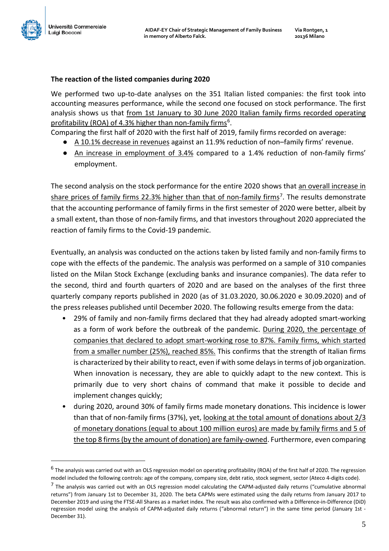

<u>.</u>

#### **The reaction of the listed companies during 2020**

We performed two up-to-date analyses on the 351 Italian listed companies: the first took into accounting measures performance, while the second one focused on stock performance. The first analysis shows us that from 1st January to 30 June 2020 Italian family firms recorded operating profitability (ROA) of 4.3% higher than non-family firms<sup>6</sup>.

Comparing the first half of 2020 with the first half of 2019, family firms recorded on average:

- A 10.1% decrease in revenues against an 11.9% reduction of non-family firms' revenue.
- An increase in employment of 3.4% compared to a 1.4% reduction of non-family firms' employment.

The second analysis on the stock performance for the entire 2020 shows that an overall increase in share prices of family firms 22.3% higher than that of non-family firms<sup>7</sup>. The results demonstrate that the accounting performance of family firms in the first semester of 2020 were better, albeit by a small extent, than those of non-family firms, and that investors throughout 2020 appreciated the reaction of family firms to the Covid-19 pandemic.

Eventually, an analysis was conducted on the actions taken by listed family and non-family firms to cope with the effects of the pandemic. The analysis was performed on a sample of 310 companies listed on the Milan Stock Exchange (excluding banks and insurance companies). The data refer to the second, third and fourth quarters of 2020 and are based on the analyses of the first three quarterly company reports published in 2020 (as of 31.03.2020, 30.06.2020 e 30.09.2020) and of the press releases published until December 2020. The following results emerge from the data:

- 29% of family and non-family firms declared that they had already adopted smart-working as a form of work before the outbreak of the pandemic. During 2020, the percentage of companies that declared to adopt smart-working rose to 87%. Family firms, which started from a smaller number (25%), reached 85%. This confirms that the strength of Italian firms is characterized by their ability to react, even if with some delays in terms of job organization. When innovation is necessary, they are able to quickly adapt to the new context. This is primarily due to very short chains of command that make it possible to decide and implement changes quickly;
- during 2020, around 30% of family firms made monetary donations. This incidence is lower than that of non-family firms (37%), yet, looking at the total amount of donations about 2/3 of monetary donations (equal to about 100 million euros) are made by family firms and 5 of the top 8 firms(by the amount of donation) are family-owned. Furthermore, even comparing

<span id="page-4-0"></span><sup>&</sup>lt;sup>6</sup> The analysis was carried out with an OLS regression model on operating profitability (ROA) of the first half of 2020. The regression model included the following controls: age of the company, company size, debt ratio, stock segment, sector (Ateco 4-digits code).

<span id="page-4-1"></span> $<sup>7</sup>$  The analysis was carried out with an OLS regression model calculating the CAPM-adjusted daily returns ("cumulative abnormal</sup> returns") from January 1st to December 31, 2020. The beta CAPMs were estimated using the daily returns from January 2017 to December 2019 and using the FTSE-All Shares as a market index. The result was also confirmed with a Difference-in-Difference (DiD) regression model using the analysis of CAPM-adjusted daily returns ("abnormal return") in the same time period (January 1st - December 31).